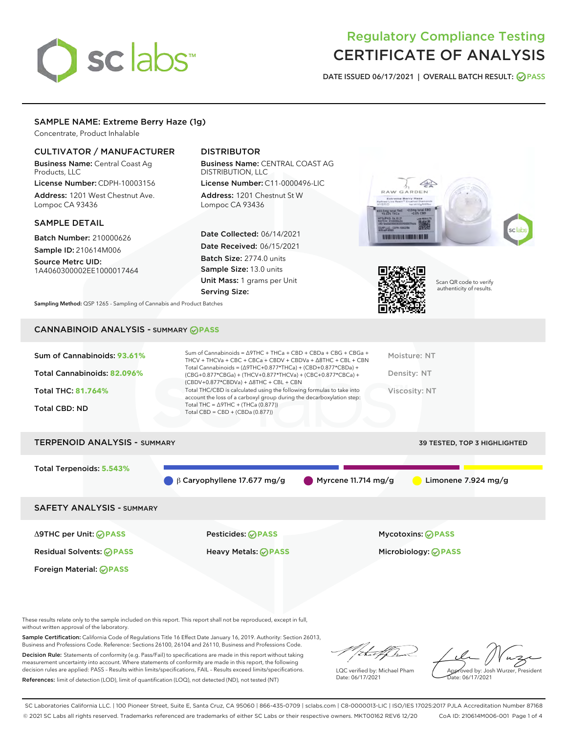# sclabs<sup>\*</sup>

# Regulatory Compliance Testing CERTIFICATE OF ANALYSIS

DATE ISSUED 06/17/2021 | OVERALL BATCH RESULT: @ PASS

# SAMPLE NAME: Extreme Berry Haze (1g)

Concentrate, Product Inhalable

# CULTIVATOR / MANUFACTURER

Business Name: Central Coast Ag Products, LLC

License Number: CDPH-10003156 Address: 1201 West Chestnut Ave. Lompoc CA 93436

#### SAMPLE DETAIL

Batch Number: 210000626 Sample ID: 210614M006

Source Metrc UID: 1A4060300002EE1000017464

# DISTRIBUTOR

Business Name: CENTRAL COAST AG DISTRIBUTION, LLC

License Number: C11-0000496-LIC Address: 1201 Chestnut St W Lompoc CA 93436

Date Collected: 06/14/2021 Date Received: 06/15/2021 Batch Size: 2774.0 units Sample Size: 13.0 units Unit Mass: 1 grams per Unit Serving Size:





Scan QR code to verify authenticity of results.

Sampling Method: QSP 1265 - Sampling of Cannabis and Product Batches

# CANNABINOID ANALYSIS - SUMMARY **PASS**

| Total THC: 81.764%<br>Viscosity: NT<br>account the loss of a carboxyl group during the decarboxylation step:<br>Total THC = $\triangle$ 9THC + (THCa (0.877))<br><b>Total CBD: ND</b><br>Total CBD = $CBD + (CBDa (0.877))$ | Sum of Cannabinoids: 93.61%<br>Total Cannabinoids: 82.096% | Sum of Cannabinoids = $\triangle$ 9THC + THCa + CBD + CBDa + CBG + CBGa +<br>THCV + THCVa + CBC + CBCa + CBDV + CBDVa + $\Delta$ 8THC + CBL + CBN<br>Total Cannabinoids = $(\Delta$ 9THC+0.877*THCa) + (CBD+0.877*CBDa) +<br>(CBG+0.877*CBGa) + (THCV+0.877*THCVa) + (CBC+0.877*CBCa) +<br>$(CBDV+0.877*CBDVa) + \Delta 8THC + CBL + CBN$ | Moisture: NT<br>Density: NT |
|-----------------------------------------------------------------------------------------------------------------------------------------------------------------------------------------------------------------------------|------------------------------------------------------------|-------------------------------------------------------------------------------------------------------------------------------------------------------------------------------------------------------------------------------------------------------------------------------------------------------------------------------------------|-----------------------------|
|                                                                                                                                                                                                                             |                                                            | Total THC/CBD is calculated using the following formulas to take into                                                                                                                                                                                                                                                                     |                             |

# TERPENOID ANALYSIS - SUMMARY 39 TESTED, TOP 3 HIGHLIGHTED

Total Terpenoids: **5.543%**

β Caryophyllene 17.677 mg/g Myrcene 11.714 mg/g Limonene 7.924 mg/g

SAFETY ANALYSIS - SUMMARY

Δ9THC per Unit: **PASS** Pesticides: **PASS** Mycotoxins: **PASS**

Foreign Material: **PASS**

Residual Solvents: **PASS** Heavy Metals: **PASS** Microbiology: **PASS**

These results relate only to the sample included on this report. This report shall not be reproduced, except in full, without written approval of the laboratory.

Sample Certification: California Code of Regulations Title 16 Effect Date January 16, 2019. Authority: Section 26013, Business and Professions Code. Reference: Sections 26100, 26104 and 26110, Business and Professions Code.

Decision Rule: Statements of conformity (e.g. Pass/Fail) to specifications are made in this report without taking measurement uncertainty into account. Where statements of conformity are made in this report, the following decision rules are applied: PASS – Results within limits/specifications, FAIL – Results exceed limits/specifications. References: limit of detection (LOD), limit of quantification (LOQ), not detected (ND), not tested (NT)

that fCh

LQC verified by: Michael Pham Date: 06/17/2021

Approved by: Josh Wurzer, President ate: 06/17/2021

SC Laboratories California LLC. | 100 Pioneer Street, Suite E, Santa Cruz, CA 95060 | 866-435-0709 | sclabs.com | C8-0000013-LIC | ISO/IES 17025:2017 PJLA Accreditation Number 87168 © 2021 SC Labs all rights reserved. Trademarks referenced are trademarks of either SC Labs or their respective owners. MKT00162 REV6 12/20 CoA ID: 210614M006-001 Page 1 of 4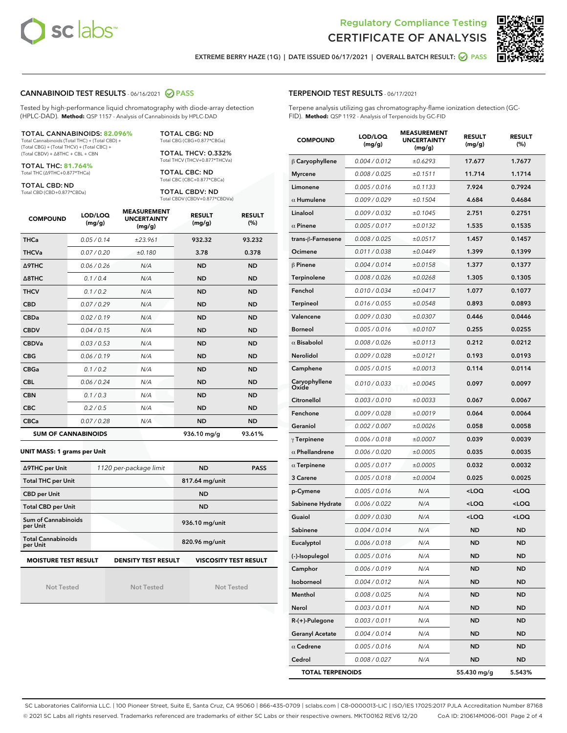



EXTREME BERRY HAZE (1G) | DATE ISSUED 06/17/2021 | OVERALL BATCH RESULT: ● PASS

#### CANNABINOID TEST RESULTS - 06/16/2021 2 PASS

Tested by high-performance liquid chromatography with diode-array detection (HPLC-DAD). **Method:** QSP 1157 - Analysis of Cannabinoids by HPLC-DAD

#### TOTAL CANNABINOIDS: **82.096%**

Total Cannabinoids (Total THC) + (Total CBD) + (Total CBG) + (Total THCV) + (Total CBC) + (Total CBDV) + ∆8THC + CBL + CBN

TOTAL THC: **81.764%** Total THC (∆9THC+0.877\*THCa)

TOTAL CBD: ND

Total CBD (CBD+0.877\*CBDa)

TOTAL CBG: ND Total CBG (CBG+0.877\*CBGa)

TOTAL THCV: 0.332% Total THCV (THCV+0.877\*THCVa)

TOTAL CBC: ND Total CBC (CBC+0.877\*CBCa)

TOTAL CBDV: ND Total CBDV (CBDV+0.877\*CBDVa)

| <b>COMPOUND</b>  | LOD/LOQ<br>(mg/g)          | <b>MEASUREMENT</b><br><b>UNCERTAINTY</b><br>(mg/g) | <b>RESULT</b><br>(mg/g) | <b>RESULT</b><br>(%) |
|------------------|----------------------------|----------------------------------------------------|-------------------------|----------------------|
| <b>THCa</b>      | 0.05/0.14                  | ±23.961                                            | 932.32                  | 93.232               |
| <b>THCVa</b>     | 0.07/0.20                  | ±0.180                                             | 3.78                    | 0.378                |
| <b>A9THC</b>     | 0.06 / 0.26                | N/A                                                | <b>ND</b>               | <b>ND</b>            |
| $\triangle$ 8THC | 0.1/0.4                    | N/A                                                | <b>ND</b>               | <b>ND</b>            |
| <b>THCV</b>      | 0.1 / 0.2                  | N/A                                                | <b>ND</b>               | <b>ND</b>            |
| <b>CBD</b>       | 0.07/0.29                  | N/A                                                | <b>ND</b>               | <b>ND</b>            |
| <b>CBDa</b>      | 0.02/0.19                  | N/A                                                | <b>ND</b>               | <b>ND</b>            |
| <b>CBDV</b>      | 0.04/0.15                  | N/A                                                | <b>ND</b>               | <b>ND</b>            |
| <b>CBDVa</b>     | 0.03/0.53                  | N/A                                                | <b>ND</b>               | <b>ND</b>            |
| <b>CBG</b>       | 0.06/0.19                  | N/A                                                | <b>ND</b>               | <b>ND</b>            |
| <b>CBGa</b>      | 0.1/0.2                    | N/A                                                | <b>ND</b>               | <b>ND</b>            |
| <b>CBL</b>       | 0.06 / 0.24                | N/A                                                | <b>ND</b>               | <b>ND</b>            |
| <b>CBN</b>       | 0.1/0.3                    | N/A                                                | <b>ND</b>               | <b>ND</b>            |
| <b>CBC</b>       | 0.2 / 0.5                  | N/A                                                | <b>ND</b>               | <b>ND</b>            |
| <b>CBCa</b>      | 0.07/0.28                  | N/A                                                | <b>ND</b>               | <b>ND</b>            |
|                  | <b>SUM OF CANNABINOIDS</b> |                                                    | 936.10 mg/g             | 93.61%               |

#### **UNIT MASS: 1 grams per Unit**

| ∆9THC per Unit                                                                            | 1120 per-package limit | <b>ND</b>      | <b>PASS</b> |  |
|-------------------------------------------------------------------------------------------|------------------------|----------------|-------------|--|
| <b>Total THC per Unit</b>                                                                 |                        | 817.64 mg/unit |             |  |
| <b>CBD per Unit</b>                                                                       |                        | <b>ND</b>      |             |  |
| <b>Total CBD per Unit</b>                                                                 |                        | <b>ND</b>      |             |  |
| Sum of Cannabinoids<br>per Unit                                                           |                        | 936.10 mg/unit |             |  |
| <b>Total Cannabinoids</b><br>per Unit                                                     |                        | 820.96 mg/unit |             |  |
| <b>MOISTURE TEST RESULT</b><br><b>VISCOSITY TEST RESULT</b><br><b>DENSITY TEST RESULT</b> |                        |                |             |  |

Not Tested

Not Tested

Not Tested

#### TERPENOID TEST RESULTS - 06/17/2021

Terpene analysis utilizing gas chromatography-flame ionization detection (GC-FID). **Method:** QSP 1192 - Analysis of Terpenoids by GC-FID

| <b>COMPOUND</b>         | LOD/LOQ<br>(mg/g) | <b>MEASUREMENT</b><br><b>UNCERTAINTY</b><br>(mg/g) | <b>RESULT</b><br>(mg/g)                         | <b>RESULT</b><br>(%) |
|-------------------------|-------------------|----------------------------------------------------|-------------------------------------------------|----------------------|
| $\beta$ Caryophyllene   | 0.004 / 0.012     | ±0.6293                                            | 17.677                                          | 1.7677               |
| <b>Myrcene</b>          | 0.008 / 0.025     | ±0.1511                                            | 11.714                                          | 1.1714               |
| Limonene                | 0.005 / 0.016     | ±0.1133                                            | 7.924                                           | 0.7924               |
| $\alpha$ Humulene       | 0.009 / 0.029     | ±0.1504                                            | 4.684                                           | 0.4684               |
| Linalool                | 0.009 / 0.032     | ±0.1045                                            | 2.751                                           | 0.2751               |
| $\alpha$ Pinene         | 0.005 / 0.017     | ±0.0132                                            | 1.535                                           | 0.1535               |
| trans-ß-Farnesene       | 0.008 / 0.025     | ±0.0517                                            | 1.457                                           | 0.1457               |
| Ocimene                 | 0.011 / 0.038     | ±0.0449                                            | 1.399                                           | 0.1399               |
| $\beta$ Pinene          | 0.004 / 0.014     | ±0.0158                                            | 1.377                                           | 0.1377               |
| Terpinolene             | 0.008 / 0.026     | ±0.0268                                            | 1.305                                           | 0.1305               |
| Fenchol                 | 0.010 / 0.034     | ±0.0417                                            | 1.077                                           | 0.1077               |
| <b>Terpineol</b>        | 0.016 / 0.055     | ±0.0548                                            | 0.893                                           | 0.0893               |
| Valencene               | 0.009 / 0.030     | ±0.0307                                            | 0.446                                           | 0.0446               |
| Borneol                 | 0.005 / 0.016     | ±0.0107                                            | 0.255                                           | 0.0255               |
| $\alpha$ Bisabolol      | 0.008 / 0.026     | ±0.0113                                            | 0.212                                           | 0.0212               |
| Nerolidol               | 0.009 / 0.028     | ±0.0121                                            | 0.193                                           | 0.0193               |
| Camphene                | 0.005 / 0.015     | ±0.0013                                            | 0.114                                           | 0.0114               |
| Caryophyllene<br>Oxide  | 0.010 / 0.033     | ±0.0045                                            | 0.097                                           | 0.0097               |
| Citronellol             | 0.003 / 0.010     | ±0.0033                                            | 0.067                                           | 0.0067               |
| Fenchone                | 0.009 / 0.028     | ±0.0019                                            | 0.064                                           | 0.0064               |
| Geraniol                | 0.002 / 0.007     | ±0.0026                                            | 0.058                                           | 0.0058               |
| $\gamma$ Terpinene      | 0.006 / 0.018     | ±0.0007                                            | 0.039                                           | 0.0039               |
| $\alpha$ Phellandrene   | 0.006 / 0.020     | ±0.0005                                            | 0.035                                           | 0.0035               |
| $\alpha$ Terpinene      | 0.005 / 0.017     | ±0.0005                                            | 0.032                                           | 0.0032               |
| 3 Carene                | 0.005 / 0.018     | ±0.0004                                            | 0.025                                           | 0.0025               |
| p-Cymene                | 0.005 / 0.016     | N/A                                                | <loq< th=""><th><loq< th=""></loq<></th></loq<> | <loq< th=""></loq<>  |
| Sabinene Hydrate        | 0.006 / 0.022     | N/A                                                | <loq< th=""><th><loq< th=""></loq<></th></loq<> | <loq< th=""></loq<>  |
| Guaiol                  | 0.009 / 0.030     | N/A                                                | <loq< th=""><th><loq< th=""></loq<></th></loq<> | <loq< th=""></loq<>  |
| Sabinene                | 0.004 / 0.014     | N/A                                                | ND                                              | <b>ND</b>            |
| Eucalyptol              | 0.006 / 0.018     | N/A                                                | <b>ND</b>                                       | <b>ND</b>            |
| (-)-Isopulegol          | 0.005 / 0.016     | N/A                                                | ND                                              | <b>ND</b>            |
| Camphor                 | 0.006 / 0.019     | N/A                                                | ND                                              | ND                   |
| Isoborneol              | 0.004 / 0.012     | N/A                                                | ND                                              | <b>ND</b>            |
| Menthol                 | 0.008 / 0.025     | N/A                                                | ND                                              | <b>ND</b>            |
| Nerol                   | 0.003 / 0.011     | N/A                                                | ND                                              | ND                   |
| R-(+)-Pulegone          | 0.003 / 0.011     | N/A                                                | ND                                              | ND                   |
| <b>Geranyl Acetate</b>  | 0.004 / 0.014     | N/A                                                | ND                                              | <b>ND</b>            |
| $\alpha$ Cedrene        | 0.005 / 0.016     | N/A                                                | ND                                              | ND                   |
| Cedrol                  | 0.008 / 0.027     | N/A                                                | ND                                              | <b>ND</b>            |
| <b>TOTAL TERPENOIDS</b> |                   |                                                    | 55.430 mg/g                                     | 5.543%               |

SC Laboratories California LLC. | 100 Pioneer Street, Suite E, Santa Cruz, CA 95060 | 866-435-0709 | sclabs.com | C8-0000013-LIC | ISO/IES 17025:2017 PJLA Accreditation Number 87168 © 2021 SC Labs all rights reserved. Trademarks referenced are trademarks of either SC Labs or their respective owners. MKT00162 REV6 12/20 CoA ID: 210614M006-001 Page 2 of 4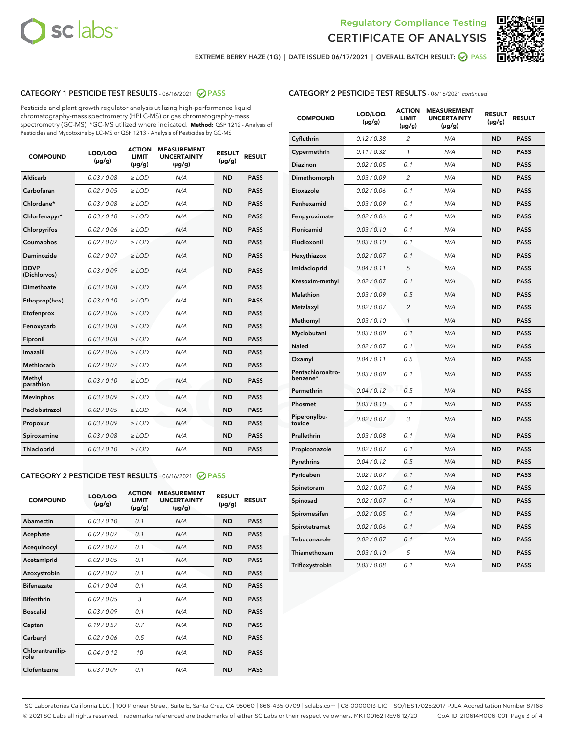



EXTREME BERRY HAZE (1G) | DATE ISSUED 06/17/2021 | OVERALL BATCH RESULT: ☑ PASS

# CATEGORY 1 PESTICIDE TEST RESULTS - 06/16/2021 @ PASS

Pesticide and plant growth regulator analysis utilizing high-performance liquid chromatography-mass spectrometry (HPLC-MS) or gas chromatography-mass spectrometry (GC-MS). \*GC-MS utilized where indicated. **Method:** QSP 1212 - Analysis of Pesticides and Mycotoxins by LC-MS or QSP 1213 - Analysis of Pesticides by GC-MS

| <b>COMPOUND</b>             | LOD/LOQ<br>$(\mu g/g)$ | <b>ACTION</b><br><b>LIMIT</b><br>$(\mu g/g)$ | <b>MEASUREMENT</b><br><b>UNCERTAINTY</b><br>$(\mu g/g)$ | <b>RESULT</b><br>$(\mu g/g)$ | <b>RESULT</b> |
|-----------------------------|------------------------|----------------------------------------------|---------------------------------------------------------|------------------------------|---------------|
| Aldicarb                    | 0.03/0.08              | $>$ LOD                                      | N/A                                                     | <b>ND</b>                    | <b>PASS</b>   |
| Carbofuran                  | 0.02 / 0.05            | $\ge$ LOD                                    | N/A                                                     | <b>ND</b>                    | <b>PASS</b>   |
| Chlordane*                  | 0.03/0.08              | $>$ LOD                                      | N/A                                                     | <b>ND</b>                    | <b>PASS</b>   |
| Chlorfenapyr*               | 0.03/0.10              | $\ge$ LOD                                    | N/A                                                     | <b>ND</b>                    | <b>PASS</b>   |
| Chlorpyrifos                | 0.02 / 0.06            | $\ge$ LOD                                    | N/A                                                     | <b>ND</b>                    | <b>PASS</b>   |
| Coumaphos                   | 0.02 / 0.07            | $\ge$ LOD                                    | N/A                                                     | <b>ND</b>                    | <b>PASS</b>   |
| Daminozide                  | 0.02 / 0.07            | $\ge$ LOD                                    | N/A                                                     | <b>ND</b>                    | <b>PASS</b>   |
| <b>DDVP</b><br>(Dichlorvos) | 0.03/0.09              | $\ge$ LOD                                    | N/A                                                     | <b>ND</b>                    | <b>PASS</b>   |
| <b>Dimethoate</b>           | 0.03 / 0.08            | $\ge$ LOD                                    | N/A                                                     | <b>ND</b>                    | <b>PASS</b>   |
| Ethoprop(hos)               | 0.03/0.10              | $\ge$ LOD                                    | N/A                                                     | <b>ND</b>                    | <b>PASS</b>   |
| Etofenprox                  | 0.02 / 0.06            | $\ge$ LOD                                    | N/A                                                     | <b>ND</b>                    | <b>PASS</b>   |
| Fenoxycarb                  | 0.03 / 0.08            | $\ge$ LOD                                    | N/A                                                     | <b>ND</b>                    | <b>PASS</b>   |
| Fipronil                    | 0.03/0.08              | $>$ LOD                                      | N/A                                                     | <b>ND</b>                    | <b>PASS</b>   |
| Imazalil                    | 0.02 / 0.06            | $\ge$ LOD                                    | N/A                                                     | <b>ND</b>                    | <b>PASS</b>   |
| Methiocarb                  | 0.02 / 0.07            | $\ge$ LOD                                    | N/A                                                     | <b>ND</b>                    | <b>PASS</b>   |
| Methyl<br>parathion         | 0.03/0.10              | $\ge$ LOD                                    | N/A                                                     | <b>ND</b>                    | <b>PASS</b>   |
| <b>Mevinphos</b>            | 0.03/0.09              | $\ge$ LOD                                    | N/A                                                     | <b>ND</b>                    | <b>PASS</b>   |
| Paclobutrazol               | 0.02 / 0.05            | $>$ LOD                                      | N/A                                                     | <b>ND</b>                    | <b>PASS</b>   |
| Propoxur                    | 0.03/0.09              | $\ge$ LOD                                    | N/A                                                     | <b>ND</b>                    | <b>PASS</b>   |
| Spiroxamine                 | 0.03 / 0.08            | $\ge$ LOD                                    | N/A                                                     | <b>ND</b>                    | <b>PASS</b>   |
| Thiacloprid                 | 0.03/0.10              | $\ge$ LOD                                    | N/A                                                     | <b>ND</b>                    | <b>PASS</b>   |

#### CATEGORY 2 PESTICIDE TEST RESULTS - 06/16/2021 @ PASS

| <b>COMPOUND</b>          | LOD/LOQ<br>$(\mu g/g)$ | <b>ACTION</b><br><b>LIMIT</b><br>$(\mu g/g)$ | <b>MEASUREMENT</b><br><b>UNCERTAINTY</b><br>$(\mu g/g)$ | <b>RESULT</b><br>$(\mu g/g)$ | <b>RESULT</b> |
|--------------------------|------------------------|----------------------------------------------|---------------------------------------------------------|------------------------------|---------------|
| Abamectin                | 0.03/0.10              | 0.1                                          | N/A                                                     | <b>ND</b>                    | <b>PASS</b>   |
| Acephate                 | 0.02/0.07              | 0.1                                          | N/A                                                     | <b>ND</b>                    | <b>PASS</b>   |
| Acequinocyl              | 0.02/0.07              | 0.1                                          | N/A                                                     | <b>ND</b>                    | <b>PASS</b>   |
| Acetamiprid              | 0.02/0.05              | 0.1                                          | N/A                                                     | <b>ND</b>                    | <b>PASS</b>   |
| Azoxystrobin             | 0.02/0.07              | 0.1                                          | N/A                                                     | <b>ND</b>                    | <b>PASS</b>   |
| <b>Bifenazate</b>        | 0.01/0.04              | 0.1                                          | N/A                                                     | <b>ND</b>                    | <b>PASS</b>   |
| <b>Bifenthrin</b>        | 0.02 / 0.05            | 3                                            | N/A                                                     | <b>ND</b>                    | <b>PASS</b>   |
| <b>Boscalid</b>          | 0.03/0.09              | 0.1                                          | N/A                                                     | <b>ND</b>                    | <b>PASS</b>   |
| Captan                   | 0.19/0.57              | 0.7                                          | N/A                                                     | <b>ND</b>                    | <b>PASS</b>   |
| Carbaryl                 | 0.02/0.06              | 0.5                                          | N/A                                                     | <b>ND</b>                    | <b>PASS</b>   |
| Chlorantranilip-<br>role | 0.04/0.12              | 10                                           | N/A                                                     | <b>ND</b>                    | <b>PASS</b>   |
| Clofentezine             | 0.03/0.09              | 0.1                                          | N/A                                                     | <b>ND</b>                    | <b>PASS</b>   |

# CATEGORY 2 PESTICIDE TEST RESULTS - 06/16/2021 continued

| <b>COMPOUND</b>               | LOD/LOQ<br>(µg/g) | <b>ACTION</b><br><b>LIMIT</b><br>$(\mu g/g)$ | <b>MEASUREMENT</b><br><b>UNCERTAINTY</b><br>$(\mu g/g)$ | <b>RESULT</b><br>(µg/g) | <b>RESULT</b> |
|-------------------------------|-------------------|----------------------------------------------|---------------------------------------------------------|-------------------------|---------------|
| Cyfluthrin                    | 0.12 / 0.38       | $\overline{c}$                               | N/A                                                     | ND                      | <b>PASS</b>   |
| Cypermethrin                  | 0.11 / 0.32       | $\mathcal{I}$                                | N/A                                                     | ND                      | <b>PASS</b>   |
| <b>Diazinon</b>               | 0.02 / 0.05       | 0.1                                          | N/A                                                     | <b>ND</b>               | <b>PASS</b>   |
| Dimethomorph                  | 0.03 / 0.09       | 2                                            | N/A                                                     | ND                      | <b>PASS</b>   |
| Etoxazole                     | 0.02 / 0.06       | 0.1                                          | N/A                                                     | ND                      | <b>PASS</b>   |
| Fenhexamid                    | 0.03 / 0.09       | 0.1                                          | N/A                                                     | ND                      | <b>PASS</b>   |
| Fenpyroximate                 | 0.02 / 0.06       | 0.1                                          | N/A                                                     | <b>ND</b>               | <b>PASS</b>   |
| Flonicamid                    | 0.03 / 0.10       | 0.1                                          | N/A                                                     | ND                      | <b>PASS</b>   |
| Fludioxonil                   | 0.03 / 0.10       | 0.1                                          | N/A                                                     | ND                      | <b>PASS</b>   |
| Hexythiazox                   | 0.02 / 0.07       | 0.1                                          | N/A                                                     | ND                      | <b>PASS</b>   |
| Imidacloprid                  | 0.04 / 0.11       | 5                                            | N/A                                                     | ND                      | <b>PASS</b>   |
| Kresoxim-methyl               | 0.02 / 0.07       | 0.1                                          | N/A                                                     | ND                      | <b>PASS</b>   |
| Malathion                     | 0.03 / 0.09       | 0.5                                          | N/A                                                     | ND                      | <b>PASS</b>   |
| Metalaxyl                     | 0.02 / 0.07       | $\overline{c}$                               | N/A                                                     | ND                      | <b>PASS</b>   |
| Methomyl                      | 0.03 / 0.10       | $\mathcal{I}$                                | N/A                                                     | ND                      | <b>PASS</b>   |
| Myclobutanil                  | 0.03 / 0.09       | 0.1                                          | N/A                                                     | <b>ND</b>               | <b>PASS</b>   |
| Naled                         | 0.02 / 0.07       | 0.1                                          | N/A                                                     | ND                      | <b>PASS</b>   |
| Oxamyl                        | 0.04 / 0.11       | 0.5                                          | N/A                                                     | ND                      | PASS          |
| Pentachloronitro-<br>benzene* | 0.03 / 0.09       | 0.1                                          | N/A                                                     | ND                      | <b>PASS</b>   |
| Permethrin                    | 0.04 / 0.12       | 0.5                                          | N/A                                                     | ND                      | <b>PASS</b>   |
| Phosmet                       | 0.03 / 0.10       | 0.1                                          | N/A                                                     | ND                      | <b>PASS</b>   |
| Piperonylbu-<br>toxide        | 0.02 / 0.07       | 3                                            | N/A                                                     | <b>ND</b>               | <b>PASS</b>   |
| Prallethrin                   | 0.03 / 0.08       | 0.1                                          | N/A                                                     | ND                      | <b>PASS</b>   |
| Propiconazole                 | 0.02 / 0.07       | 0.1                                          | N/A                                                     | <b>ND</b>               | <b>PASS</b>   |
| Pyrethrins                    | 0.04 / 0.12       | 0.5                                          | N/A                                                     | ND                      | <b>PASS</b>   |
| Pyridaben                     | 0.02 / 0.07       | 0.1                                          | N/A                                                     | <b>ND</b>               | <b>PASS</b>   |
| Spinetoram                    | 0.02 / 0.07       | 0.1                                          | N/A                                                     | ND                      | <b>PASS</b>   |
| Spinosad                      | 0.02 / 0.07       | 0.1                                          | N/A                                                     | ND                      | <b>PASS</b>   |
| Spiromesifen                  | 0.02 / 0.05       | 0.1                                          | N/A                                                     | <b>ND</b>               | <b>PASS</b>   |
| Spirotetramat                 | 0.02 / 0.06       | 0.1                                          | N/A                                                     | ND                      | <b>PASS</b>   |
| Tebuconazole                  | 0.02 / 0.07       | 0.1                                          | N/A                                                     | ND                      | <b>PASS</b>   |
| Thiamethoxam                  | 0.03 / 0.10       | 5                                            | N/A                                                     | <b>ND</b>               | <b>PASS</b>   |
| Trifloxystrobin               | 0.03 / 0.08       | 0.1                                          | N/A                                                     | <b>ND</b>               | <b>PASS</b>   |

SC Laboratories California LLC. | 100 Pioneer Street, Suite E, Santa Cruz, CA 95060 | 866-435-0709 | sclabs.com | C8-0000013-LIC | ISO/IES 17025:2017 PJLA Accreditation Number 87168 © 2021 SC Labs all rights reserved. Trademarks referenced are trademarks of either SC Labs or their respective owners. MKT00162 REV6 12/20 CoA ID: 210614M006-001 Page 3 of 4